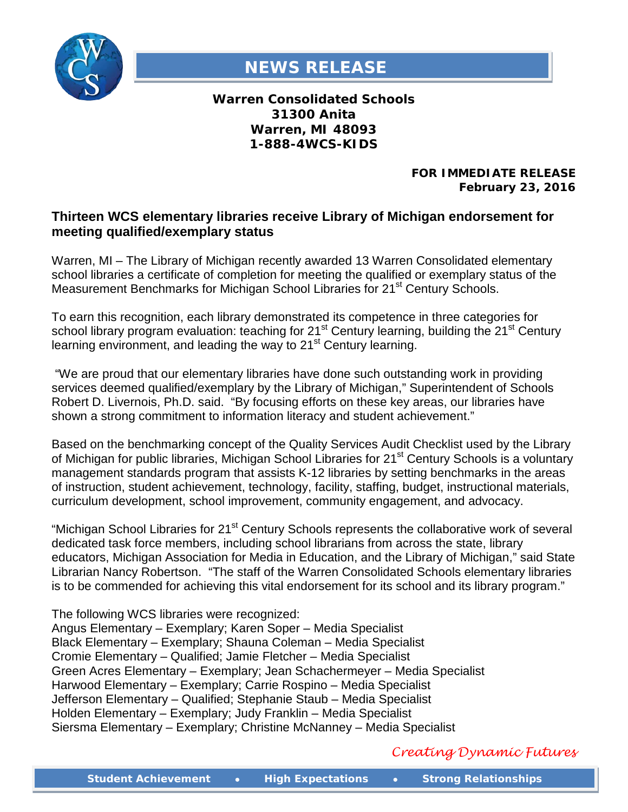

## **NEWS RELEASE**

**Warren Consolidated Schools 31300 Anita Warren, MI 48093 1-888-4WCS-KIDS**

> **FOR IMMEDIATE RELEASE February 23, 2016**

## **Thirteen WCS elementary libraries receive Library of Michigan endorsement for meeting qualified/exemplary status**

Warren, MI – The Library of Michigan recently awarded 13 Warren Consolidated elementary school libraries a certificate of completion for meeting the qualified or exemplary status of the Measurement Benchmarks for Michigan School Libraries for 21<sup>st</sup> Century Schools.

To earn this recognition, each library demonstrated its competence in three categories for school library program evaluation: teaching for 21<sup>st</sup> Century learning, building the 21<sup>st</sup> Century learning environment, and leading the way to 21<sup>st</sup> Century learning.

"We are proud that our elementary libraries have done such outstanding work in providing services deemed qualified/exemplary by the Library of Michigan," Superintendent of Schools Robert D. Livernois, Ph.D. said. "By focusing efforts on these key areas, our libraries have shown a strong commitment to information literacy and student achievement."

Based on the benchmarking concept of the Quality Services Audit Checklist used by the Library of Michigan for public libraries, Michigan School Libraries for 21<sup>st</sup> Century Schools is a voluntary management standards program that assists K-12 libraries by setting benchmarks in the areas of instruction, student achievement, technology, facility, staffing, budget, instructional materials, curriculum development, school improvement, community engagement, and advocacy.

"Michigan School Libraries for 21<sup>st</sup> Century Schools represents the collaborative work of several dedicated task force members, including school librarians from across the state, library educators, Michigan Association for Media in Education, and the Library of Michigan," said State Librarian Nancy Robertson. "The staff of the Warren Consolidated Schools elementary libraries is to be commended for achieving this vital endorsement for its school and its library program."

The following WCS libraries were recognized:

Angus Elementary – Exemplary; Karen Soper – Media Specialist Black Elementary – Exemplary; Shauna Coleman – Media Specialist Cromie Elementary – Qualified; Jamie Fletcher – Media Specialist Green Acres Elementary – Exemplary; Jean Schachermeyer – Media Specialist Harwood Elementary – Exemplary; Carrie Rospino – Media Specialist Jefferson Elementary – Qualified; Stephanie Staub – Media Specialist Holden Elementary – Exemplary; Judy Franklin – Media Specialist Siersma Elementary – Exemplary; Christine McNanney – Media Specialist

*Creating Dynamic Futures*